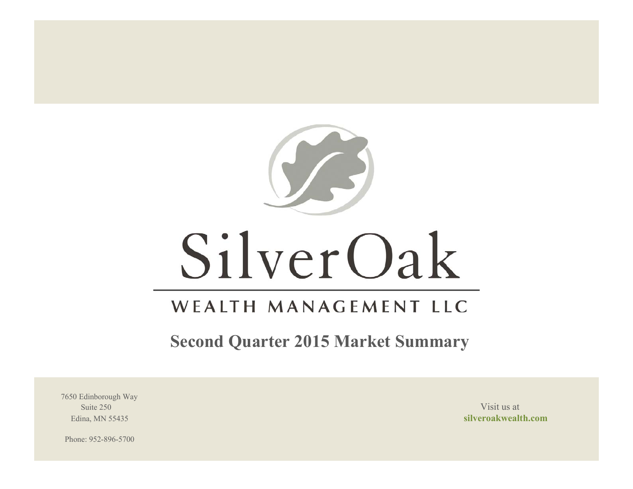

# SilverOak

# WEALTH MANAGEMENT LLC

**Second Quarter 2015 Market Summary**

7650 Edinborough Way Suite 250 Visit us at the set of the set of the set of the set of the set of the set of the set of the set of the set of the set of the set of the set of the set of the set of the set of the set of the set of the set of th

Edina, MN 55435 **silveroakwealth.com**

Phone: 952-896-5700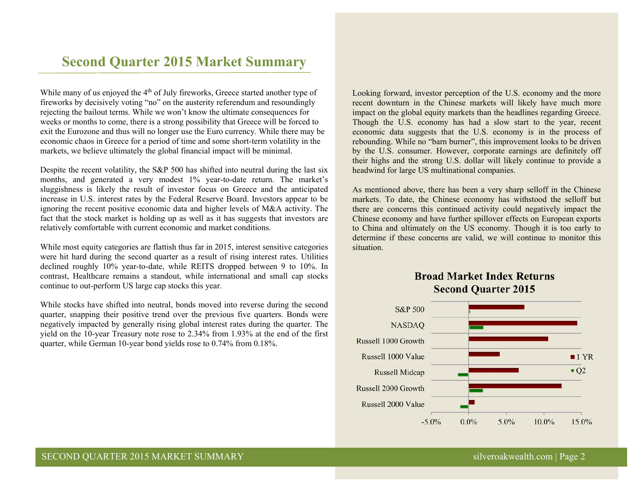# **Second Quarter 2015 Market Summary**

While many of us enjoyed the  $4<sup>th</sup>$  of July fireworks, Greece started another type of fireworks by decisively voting "no" on the austerity referendum and resoundingly rejecting the bailout terms. While we won't know the ultimate consequences for weeks or months to come, there is a strong possibility that Greece will be forced to exit the Eurozone and thus will no longer use the Euro currency. While there may be economic chaos in Greece for a period of time and some short-term volatility in the markets, we believe ultimately the global financial impact will be minimal.

Despite the recent volatility, the S&P 500 has shifted into neutral during the last six months, and generated a very modest 1% year-to-date return. The market's sluggishness is likely the result of investor focus on Greece and the anticipated increase in U.S. interest rates by the Federal Reserve Board. Investors appear to be ignoring the recent positive economic data and higher levels of M&A activity. The fact that the stock market is holding up as well as it has suggests that investors are relatively comfortable with current economic and market conditions.

While most equity categories are flattish thus far in 2015, interest sensitive categories were hit hard during the second quarter as a result of rising interest rates. Utilities declined roughly 10% year-to-date, while REITS dropped between 9 to 10%. In contrast, Healthcare remains a standout, while international and small cap stocks continue to out-perform US large cap stocks this year.

While stocks have shifted into neutral, bonds moved into reverse during the second quarter, snapping their positive trend over the previous five quarters. Bonds were negatively impacted by generally rising global interest rates during the quarter. The yield on the 10-year Treasury note rose to 2.34% from 1.93% at the end of the first quarter, while German 10-year bond yields rose to 0.74% from 0.18%.

Looking forward, investor perception of the U.S. economy and the more recent downturn in the Chinese markets will likely have much more impact on the global equity markets than the headlines regarding Greece. Though the U.S. economy has had a slow start to the year, recent economic data suggests that the U.S. economy is in the process of rebounding. While no "barn burner", this improvement looks to be driven by the U.S. consumer. However, corporate earnings are definitely off their highs and the strong U.S. dollar will likely continue to provide a headwind for large US multinational companies.

As mentioned above, there has been a very sharp selloff in the Chinese markets. To date, the Chinese economy has withstood the selloff but there are concerns this continued activity could negatively impact the Chinese economy and have further spillover effects on European exports to China and ultimately on the US economy. Though it is too early to determine if these concerns are valid, we will continue to monitor this situation.



# **Broad Market Index Returns Second Ouarter 2015**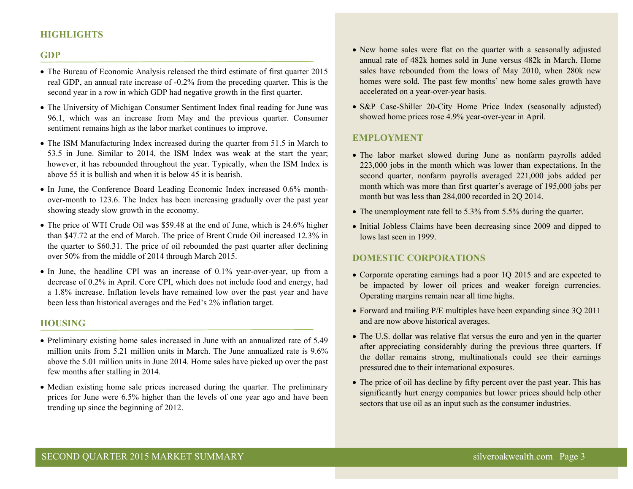# **HIGHLIGHTS**

#### **GDP**

- The Bureau of Economic Analysis released the third estimate of first quarter 2015 real GDP, an annual rate increase of -0.2% from the preceding quarter. This is the second year in a row in which GDP had negative growth in the first quarter.
- The University of Michigan Consumer Sentiment Index final reading for June was 96.1, which was an increase from May and the previous quarter. Consumer sentiment remains high as the labor market continues to improve.
- The ISM Manufacturing Index increased during the quarter from 51.5 in March to 53.5 in June. Similar to 2014, the ISM Index was weak at the start the year; however, it has rebounded throughout the year. Typically, when the ISM Index is above 55 it is bullish and when it is below 45 it is bearish.
- In June, the Conference Board Leading Economic Index increased 0.6% monthover-month to 123.6. The Index has been increasing gradually over the past year showing steady slow growth in the economy.
- The price of WTI Crude Oil was \$59.48 at the end of June, which is 24.6% higher than \$47.72 at the end of March. The price of Brent Crude Oil increased 12.3% in the quarter to \$60.31. The price of oil rebounded the past quarter after declining over 50% from the middle of 2014 through March 2015.
- In June, the headline CPI was an increase of 0.1% year-over-year, up from a decrease of 0.2% in April. Core CPI, which does not include food and energy, had a 1.8% increase. Inflation levels have remained low over the past year and have been less than historical averages and the Fed's 2% inflation target.

#### **HOUSING**

- Preliminary existing home sales increased in June with an annualized rate of 5.49 million units from 5.21 million units in March. The June annualized rate is 9.6% above the 5.01 million units in June 2014. Home sales have picked up over the past few months after stalling in 2014.
- Median existing home sale prices increased during the quarter. The preliminary prices for June were 6.5% higher than the levels of one year ago and have been trending up since the beginning of 2012.
- New home sales were flat on the quarter with a seasonally adjusted annual rate of 482k homes sold in June versus 482k in March. Home sales have rebounded from the lows of May 2010, when 280k new homes were sold. The past few months' new home sales growth have accelerated on a year-over-year basis.
- S&P Case-Shiller 20-City Home Price Index (seasonally adjusted) showed home prices rose 4.9% year-over-year in April.

## **EMPLOYMENT**

- The labor market slowed during June as nonfarm payrolls added 223,000 jobs in the month which was lower than expectations. In the second quarter, nonfarm payrolls averaged 221,000 jobs added per month which was more than first quarter's average of 195,000 jobs per month but was less than 284,000 recorded in 2Q 2014.
- The unemployment rate fell to 5.3% from 5.5% during the quarter.
- Initial Jobless Claims have been decreasing since 2009 and dipped to lows last seen in 1999.

#### **DOMESTIC CORPORATIONS**

- Corporate operating earnings had a poor 1Q 2015 and are expected to be impacted by lower oil prices and weaker foreign currencies. Operating margins remain near all time highs.
- Forward and trailing P/E multiples have been expanding since 3Q 2011 and are now above historical averages.
- The U.S. dollar was relative flat versus the euro and yen in the quarter after appreciating considerably during the previous three quarters. If the dollar remains strong, multinationals could see their earnings pressured due to their international exposures.
- The price of oil has decline by fifty percent over the past year. This has significantly hurt energy companies but lower prices should help other sectors that use oil as an input such as the consumer industries.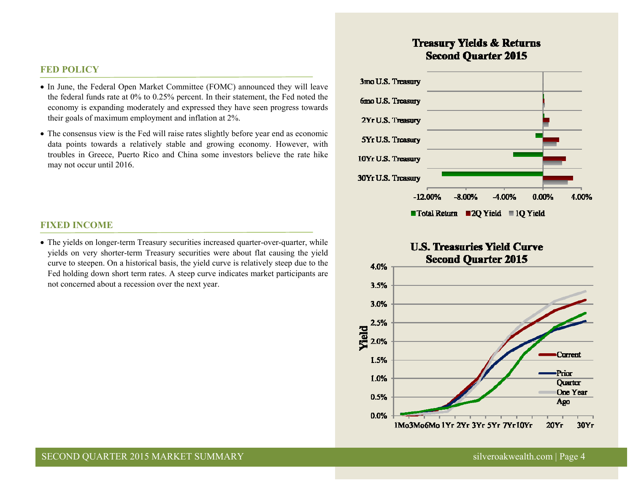## **FED POLICY**

- In June, the Federal Open Market Committee (FOMC) announced they will leave the federal funds rate at 0% to 0.25% percent. In their statement, the Fed noted the economy is expanding moderately and expressed they have seen progress towards their goals of maximum employment and inflation at 2%.
- The consensus view is the Fed will raise rates slightly before year end as economic data points towards a relatively stable and growing economy. However, with troubles in Greece, Puerto Rico and China some investors believe the rate hike may not occur until 2016.

#### **FIXED INCOME**

 The yields on longer-term Treasury securities increased quarter-over-quarter, while yields on very shorter-term Treasury securities were about flat causing the yield curve to steepen. On a historical basis, the yield curve is relatively steep due to the Fed holding down short term rates. A steep curve indicates market participants are not concerned about a recession over the next year.

# **Treasury Yields & Returns Second Ouarter 2015**



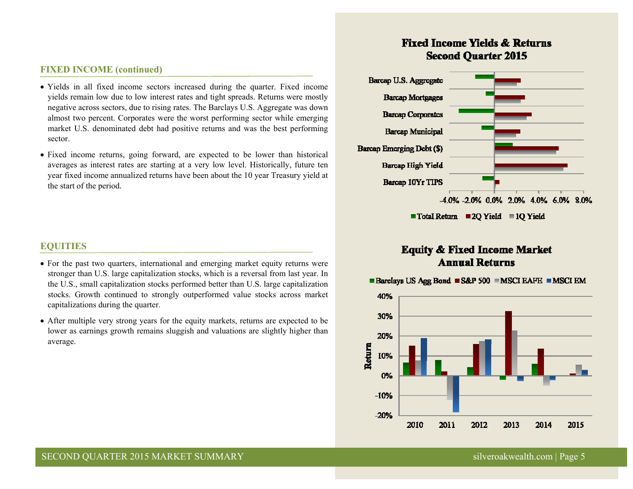# **FIXED INCOME (continued)**

- Yields in all fixed income sectors increased during the quarter. Fixed income yields remain low due to low interest rates and tight spreads. Returns were mostly negative across sectors, due to rising rates. The Barclays U.S. Aggregate was down almost two percent. Corporates were the worst performing sector while emerging market U.S. denominated debt had positive returns and was the best performing sector.
- Fixed income returns, going forward, are expected to be lower than historical averages as interest rates are starting at a very low level. Historically, future ten year fixed income annualized returns have been about the 10 year Treasury yield at the start of the period.

# **EQUITIES**

- For the past two quarters, international and emerging market equity returns were stronger than U.S. large capitalization stocks, which is a reversal from last year. In the U.S., small capitalization stocks performed better than U.S. large capitalization stocks. Growth continued to strongly outperformed value stocks across market capitalizations during the quarter.
- After multiple very strong years for the equity markets, returns are expected to be lower as earnings growth remains sluggish and valuations are slightly higher than average.

# **Fixed Income Yields & Returns Second Ouarter 2015**



# **Equity & Fixed Income Market Annual Returns**

■ Barclays US Agg Bond ■ S&P 500 ■ MSCI EAFE ■ MSCI EM

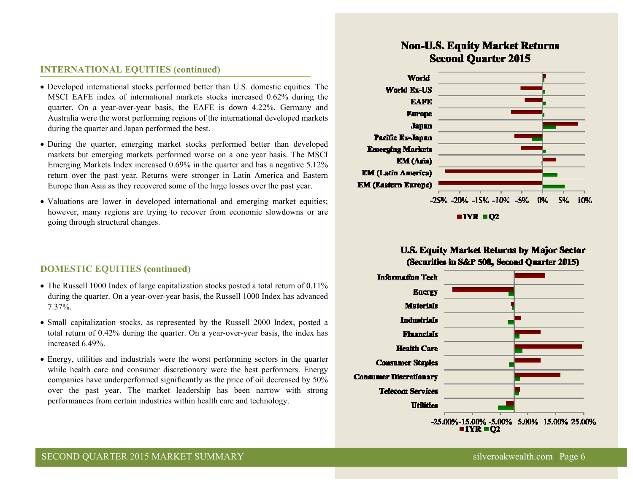# **INTERNATIONAL EQUITIES (continued)**

- Developed international stocks performed better than U.S. domestic equities. The MSCI EAFE index of international markets stocks increased 0.62% during the quarter. On a year-over-year basis, the EAFE is down 4.22%. Germany and Australia were the worst performing regions of the international developed markets during the quarter and Japan performed the best.
- During the quarter, emerging market stocks performed better than developed markets but emerging markets performed worse on a one year basis. The MSCI Emerging Markets Index increased 0.69% in the quarter and has a negative 5.12% return over the past year. Returns were stronger in Latin America and Eastern Europe than Asia as they recovered some of the large losses over the past year.
- Valuations are lower in developed international and emerging market equities; however, many regions are trying to recover from economic slowdowns or are going through structural changes.

# **DOMESTIC EQUITIES (continued)**

- The Russell 1000 Index of large capitalization stocks posted a total return of 0.11% during the quarter. On a year-over-year basis, the Russell 1000 Index has advanced 7.37%.
- Small capitalization stocks, as represented by the Russell 2000 Index, posted a total return of 0.42% during the quarter. On a year-over-year basis, the index has increased 6.49%.
- Energy, utilities and industrials were the worst performing sectors in the quarter while health care and consumer discretionary were the best performers. Energy companies have underperformed significantly as the price of oil decreased by 50% over the past year. The market leadership has been narrow with strong performances from certain industries within health care and technology.

# **Non-U.S. Equity Market Returns Second Ouarter 2015**



 $1YR = 02$ 

# **U.S. Equity Market Returns by Major Sector** (Securities in S&P 500, Second Quarter 2015)